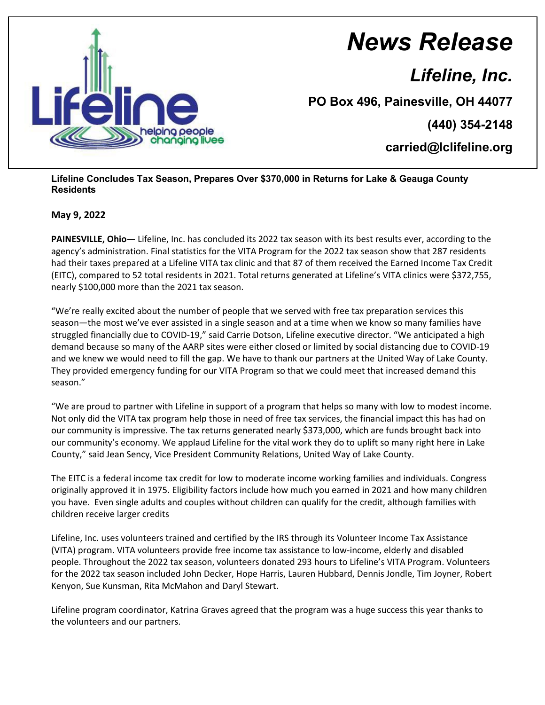

## *News Release*

*Lifeline, Inc.*

**PO Box 496, Painesville, OH 44077**

**(440) 354-2148**

**carried@lclifeline.org**

## **Lifeline Concludes Tax Season, Prepares Over \$370,000 in Returns for Lake & Geauga County Residents**

## **May 9, 2022**

**PAINESVILLE, Ohio—** Lifeline, Inc. has concluded its 2022 tax season with its best results ever, according to the agency's administration. Final statistics for the VITA Program for the 2022 tax season show that 287 residents had their taxes prepared at a Lifeline VITA tax clinic and that 87 of them received the Earned Income Tax Credit (EITC), compared to 52 total residents in 2021. Total returns generated at Lifeline's VITA clinics were \$372,755, nearly \$100,000 more than the 2021 tax season.

"We're really excited about the number of people that we served with free tax preparation services this season—the most we've ever assisted in a single season and at a time when we know so many families have struggled financially due to COVID-19," said Carrie Dotson, Lifeline executive director. "We anticipated a high demand because so many of the AARP sites were either closed or limited by social distancing due to COVID-19 and we knew we would need to fill the gap. We have to thank our partners at the United Way of Lake County. They provided emergency funding for our VITA Program so that we could meet that increased demand this season."

"We are proud to partner with Lifeline in support of a program that helps so many with low to modest income. Not only did the VITA tax program help those in need of free tax services, the financial impact this has had on our community is impressive. The tax returns generated nearly \$373,000, which are funds brought back into our community's economy. We applaud Lifeline for the vital work they do to uplift so many right here in Lake County," said Jean Sency, Vice President Community Relations, United Way of Lake County.

The EITC is a federal income tax credit for low to moderate income working families and individuals. Congress originally approved it in 1975. Eligibility factors include how much you earned in 2021 and how many children you have. Even single adults and couples without children can qualify for the credit, although families with children receive larger credits

Lifeline, Inc. uses volunteers trained and certified by the IRS through its Volunteer Income Tax Assistance (VITA) program. VITA volunteers provide free income tax assistance to low-income, elderly and disabled people. Throughout the 2022 tax season, volunteers donated 293 hours to Lifeline's VITA Program. Volunteers for the 2022 tax season included John Decker, Hope Harris, Lauren Hubbard, Dennis Jondle, Tim Joyner, Robert Kenyon, Sue Kunsman, Rita McMahon and Daryl Stewart.

Lifeline program coordinator, Katrina Graves agreed that the program was a huge success this year thanks to the volunteers and our partners.